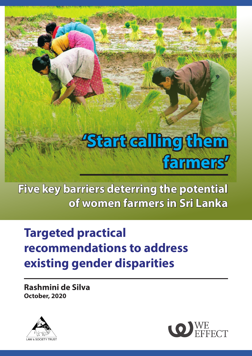# **'Start calling them farmers'**

 **Five key barriers deterring the potential of women farmers in Sri Lanka**

# **Targeted practical recommendations to address existing gender disparities**

### **Rashmini de Silva October, 2020**



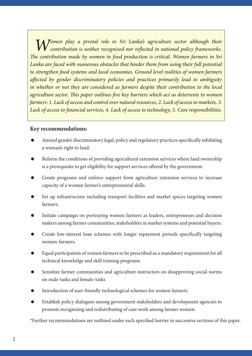*Women play a pivotal role in Sri Lanka's agriculture sector although their contribution is neither recognized nor reflected in national policy frameworks. The contribution made by women in food production is critical. Women farmers in Sri Lanka are faced with numerous obstacles that hinder them from using their full potential to strengthen food systems and local economies. Ground level realities of women farmers affected by gender discriminatory policies and practices primarily lead to ambiguity in whether or not they are considered as farmers despite their contribution to the local agriculture sector. This paper outlines five key barriers which act as deterrents to women farmers: 1. Lack of access and control over natural resources, 2. Lack of access to markets, 3. Lack of access to financial services, 4. Lack of access to technology, 5. Care responsibilities.* 

#### **Key recommendations:**

- Amend gender discriminatory legal, policy and regulatory practices specifically inhibiting a woman's right to land.
- Reform the conditions of providing agricultural extension services where land ownership is a prerequisite to get eligibility for support services offered by the government.
- Create programs and enforce support from agriculture extension services to increase capacity of a woman farmer's entrepreneurial skills.
- Set up infrastructure including transport facilities and market spaces targeting women farmers.
- Initiate campaign on portraying women farmers as leaders, entrepreneurs and decision makers among farmer communities, stakeholders in market systems and potential buyers.
- Create low-interest loan schemes with longer repayment periods specifically targeting women-farmers.
- Equal participation of women farmers to be prescribed as a mandatory requirement for all technical knowledge and skill training programs.
- Sensitize farmer communities and agriculture instructors on disapproving social norms on male-tasks and female-tasks
- Introduction of user-friendly technological schemes for women farmers.
- Establish policy dialogues among government stakeholders and development agencies to promote recognizing and redistributing of care work among farmer women.

\*Further recommendations are outlined under each specified barrier in successive sections of this paper.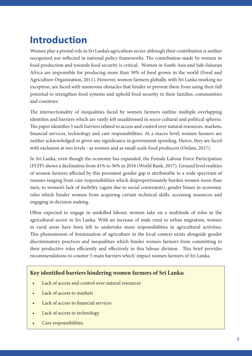# **Introduction**

Women play a pivotal role in Sri Lanka's agriculture sector although their contribution is neither recognized nor reflected in national policy frameworks. The contribution made by women in food production and towards food security is critical. Women in South Asia and Sub-Saharan Africa are responsible for producing more than 50% of food grown in the world (Food and Agriculture Organization, 2011). However, women farmers globally, with Sri Lanka marking no exception, are faced with numerous obstacles that hinder or prevent them from using their full potential to strengthen food systems and uphold food security in their families, communities and countries.

The intersectionality of inequalities faced by women farmers outline multiple overlapping identities and barriers which are vastly left unaddressed in socio-cultural and political spheres. The paper identifies 5 such barriers related to access and control over natural resources, markets, financial services, technology and care responsibilities. At a macro level, women farmers are neither acknowledged or given any significance in government spending. Hence, they are faced with exclusion at two levels - as women and as small-scale food producers (Oxfam, 2017).

In Sri Lanka, even though the economy has expanded, the Female Labour Force Participation (FLFP) shows a declination from 41% to 36% in 2016 (World Bank, 2017). Ground level realities of women farmers affected by this persistent gender gap is attributable to a wide spectrum of reasons ranging from care responsibilities which disproportionately burden women more than men, to women's lack of mobility (again due to social constraints), gender biases in economic roles which hinder women from acquiring certain technical skills, accessing resources and engaging in decision making.

Often expected to engage in unskilled labour, women take on a multitude of roles in the agricultural sector in Sri Lanka. With an increase of male rural to urban migration, women in rural areas have been left to undertake more responsibilities in agricultural activities. This phenomenon of feminization of agriculture in the local context exists alongside gender discriminatory practices and inequalities which hinder women farmers from committing to their productive roles efficiently and effectively in this labour division. This brief provides recommendations to counter 5 main barriers which`impact women farmers of Sri Lanka.

#### **Key identified barriers hindering women farmers of Sri Lanka:**

- Lack of access and control over natural resources
- Lack of access to markets
- Lack of access to financial services
- Lack of access to technology
- Care responsibilities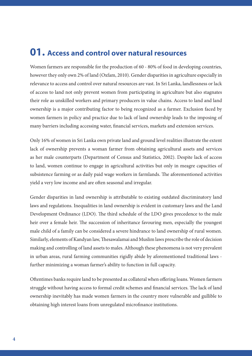### **01. Access and control over natural resources**

Women farmers are responsible for the production of 60 - 80% of food in developing countries, however they only own 2% of land (Oxfam, 2010). Gender disparities in agriculture especially in relevance to access and control over natural resources are vast. In Sri Lanka, landlessness or lack of access to land not only prevent women from participating in agriculture but also stagnates their role as unskilled workers and primary producers in value chains. Access to land and land ownership is a major contributing factor to being recognized as a farmer. Exclusion faced by women farmers in policy and practice due to lack of land ownership leads to the imposing of many barriers including accessing water, financial services, markets and extension services.

Only 16% of women in Sri Lanka own private land and ground level realities illustrate the extent lack of ownership prevents a woman farmer from obtaining agricultural assets and services as her male counterparts (Department of Census and Statistics, 2002). Despite lack of access to land, women continue to engage in agricultural activities but only in meagre capacities of subsistence farming or as daily paid wage workers in farmlands. The aforementioned activities yield a very low income and are often seasonal and irregular.

Gender disparities in land ownership is attributable to existing outdated discriminatory land laws and regulations. Inequalities in land ownership is evident in customary laws and the Land Development Ordinance (LDO). The third schedule of the LDO gives precedence to the male heir over a female heir. The succession of inheritance favouring men, especially the youngest male child of a family can be considered a severe hindrance to land ownership of rural women. Similarly, elements of Kandyan law, Thesawalamai and Muslim laws prescribe the role of decision making and controlling of land assets to males. Although these phenomena is not very prevalent in urban areas, rural farming communities rigidly abide by aforementioned traditional laws further minimizing a woman farmer's ability to function in full capacity.

Oftentimes banks require land to be presented as collateral when offering loans. Women farmers struggle without having access to formal credit schemes and financial services. The lack of land ownership inevitably has made women farmers in the country more vulnerable and gullible to obtaining high interest loans from unregulated microfinance institutions.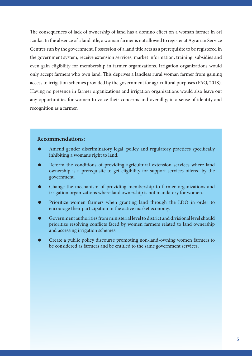The consequences of lack of ownership of land has a domino effect on a woman farmer in Sri Lanka. In the absence of a land title, a woman farmer is not allowed to register at Agrarian Service Centres run by the government. Possession of a land title acts as a prerequisite to be registered in the government system, receive extension services, market information, training, subsidies and even gain eligibility for membership in farmer organizations. Irrigation organizations would only accept farmers who own land. This deprives a landless rural woman farmer from gaining access to irrigation schemes provided by the government for agricultural purposes (FAO, 2018). Having no presence in farmer organizations and irrigation organizations would also leave out any opportunities for women to voice their concerns and overall gain a sense of identity and recognition as a farmer.

- Amend gender discriminatory legal, policy and regulatory practices specifically inhibiting a woman's right to land.
- Reform the conditions of providing agricultural extension services where land ownership is a prerequisite to get eligibility for support services offered by the government.
- Change the mechanism of providing membership to farmer organizations and irrigation organizations where land ownership is not mandatory for women.
- Prioritize women farmers when granting land through the LDO in order to encourage their participation in the active market economy.
- Government authorities from ministerial level to district and divisional level should prioritize resolving conflicts faced by women farmers related to land ownership and accessing irrigation schemes.
- Create a public policy discourse promoting non-land-owning women farmers to be considered as farmers and be entitled to the same government services.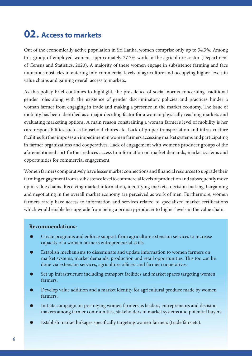### **02. Access to markets**

Out of the economically active population in Sri Lanka, women comprise only up to 34.3%. Among this group of employed women, approximately 27.7% work in the agriculture sector (Department of Census and Statistics, 2020). A majority of these women engage in subsistence farming and face numerous obstacles in entering into commercial levels of agriculture and occupying higher levels in value chains and gaining overall access to markets.

As this policy brief continues to highlight, the prevalence of social norms concerning traditional gender roles along with the existence of gender discriminatory policies and practices hinder a woman farmer from engaging in trade and making a presence in the market economy. The issue of mobility has been identified as a major deciding factor for a woman physically reaching markets and evaluating marketing options. A main reason constraining a woman farmer's level of mobility is her care responsibilities such as household chores etc. Lack of proper transportation and infrastructure facilities further imposes an impediment in women farmers accessing market systems and participating in farmer organizations and cooperatives. Lack of engagement with women's producer groups of the aforementioned sort further reduces access to information on market demands, market systems and opportunities for commercial engagement.

Women farmers comparatively have lesser market connections and financial resources to upgrade their farming engagement from a subsistence level to commercial levels of production and subsequently move up in value chains. Receiving market information, identifying markets, decision making, bargaining and negotiating in the overall market economy are perceived as work of men. Furthermore, women farmers rarely have access to information and services related to specialized market certifications which would enable her upgrade from being a primary producer to higher levels in the value chain.

- Create programs and enforce support from agriculture extension services to increase capacity of a woman farmer's entrepreneurial skills.
- Establish mechanisms to disseminate and update information to women farmers on market systems, market demands, production and retail opportunities. This too can be done via extension services, agriculture officers and farmer cooperatives.
- Set up infrastructure including transport facilities and market spaces targeting women farmers.
- Develop value addition and a market identity for agricultural produce made by women farmers.
- Initiate campaign on portraying women farmers as leaders, entrepreneurs and decision makers among farmer communities, stakeholders in market systems and potential buyers.
- Establish market linkages specifically targeting women farmers (trade fairs etc).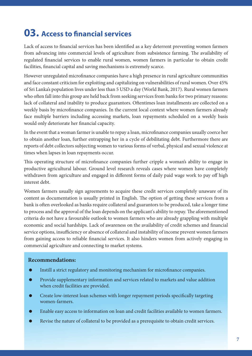### **03. Access to financial services**

Lack of access to financial services has been identified as a key deterrent preventing women farmers from advancing into commercial levels of agriculture from subsistence farming. The availability of regulated financial services to enable rural women, women farmers in particular to obtain credit facilities, financial capital and saving mechanisms is extremely scarce.

However unregulated microfinance companies have a high presence in rural agriculture communities and face constant criticism for exploiting and capitalizing on vulnerabilities of rural women. Over 45% of Sri Lanka's population lives under less than 5 USD a day (World Bank, 2017). Rural women farmers who often fall into this group are held back from seeking services from banks for two primary reasons: lack of collateral and inability to produce guarantors. Oftentimes loan installments are collected on a weekly basis by microfinance companies. In the current local context where women farmers already face multiple barriers including accessing markets, loan repayments scheduled on a weekly basis would only deteriorate her financial capacity.

In the event that a woman farmer is unable to repay a loan, microfinance companies usually coerce her to obtain another loan, further entrapping her in a cycle of debilitating debt. Furthermore there are reports of debt collectors subjecting women to various forms of verbal, physical and sexual violence at times when lapses in loan repayments occur.

This operating structure of microfinance companies further cripple a woman's ability to engage in productive agricultural labour. Ground level research reveals cases where women have completely withdrawn from agriculture and engaged in different forms of daily paid wage work to pay off high interest debt.

Women farmers usually sign agreements to acquire these credit services completely unaware of its content as documentation is usually printed in English. The option of getting these services from a bank is often overlooked as banks require collateral and guarantors to be produced, take a longer time to process and the approval of the loan depends on the applicant's ability to repay. The aforementioned criteria do not have a favourable outlook to women farmers who are already grappling with multiple economic and social hardships. Lack of awareness on the availability of credit schemes and financial service options, insufficiency or absence of collateral and instability of income prevent women farmers from gaining access to reliable financial services. It also hinders women from actively engaging in commercial agriculture and connecting to market systems.

- Instill a strict regulatory and monitoring mechanism for microfinance companies.
- Provide supplementary information and services related to markets and value addition when credit facilities are provided.
- Create low-interest loan schemes with longer repayment periods specifically targeting women-farmers.
- Enable easy access to information on loan and credit facilities available to women farmers.
- Revise the nature of collateral to be provided as a prerequisite to obtain credit services.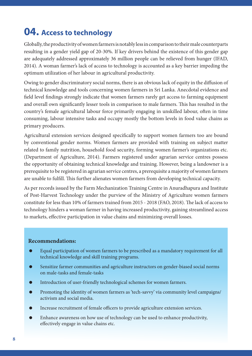# **04. Access to technology**

Globally, the productivity of women farmers is notably less in comparison to their male counterparts resulting in a gender yield gap of 20-30%. If key drivers behind the existence of this gender gap are adequately addressed approximately 36 million people can be relieved from hunger (IFAD, 2014). A woman farmer's lack of access to technology is accounted as a key barrier impeding the optimum utilization of her labour in agricultural productivity.

Owing to gender discriminatory social norms, there is an obvious lack of equity in the diffusion of technical knowledge and tools concerning women farmers in Sri Lanka. Anecdotal evidence and field level findings strongly indicate that women farmers rarely get access to farming equipment and overall own significantly lesser tools in comparison to male farmers. This has resulted in the country's female agricultural labour force primarily engaging in unskilled labour, often in time consuming, labour intensive tasks and occupy mostly the bottom levels in food value chains as primary producers.

Agricultural extension services designed specifically to support women farmers too are bound by conventional gender norms. Women farmers are provided with training on subject matter related to family nutrition, household food security, forming women farmer's organizations etc. (Department of Agriculture, 2014). Farmers registered under agrarian service centres possess the opportunity of obtaining technical knowledge and training. However, being a landowner is a prerequisite to be registered in agrarian service centres, a prerequisite a majority of women farmers are unable to fulfill. This further alienates women farmers from developing technical capacity.

As per records issued by the Farm Mechanization Training Centre in Anuradhapura and Institute of Post-Harvest Technology under the purview of the Ministry of Agriculture women farmers constitute for less than 10% of farmers trained from 2015 - 2018 (FAO, 2018). The lack of access to technology hinders a woman farmer in having increased productivity, gaining streamlined access to markets, effective participation in value chains and minimizing overall losses.

- Equal participation of women farmers to be prescribed as a mandatory requirement for all technical knowledge and skill training programs.
- Sensitize farmer communities and agriculture instructors on gender-biased social norms on male-tasks and female-tasks
- Introduction of user-friendly technological schemes for women farmers.
- **•** Promoting the identity of women farmers as 'tech-savvy' via community level campaigns/ activism and social media.
- Increase recruitment of female officers to provide agriculture extension services.
- Enhance awareness on how use of technology can be used to enhance productivity, effectively engage in value chains etc.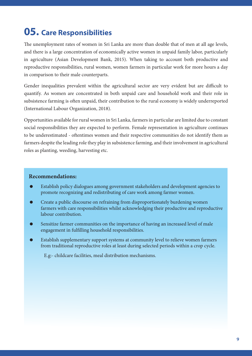## **05. Care Responsibilities**

The unemployment rates of women in Sri Lanka are more than double that of men at all age levels, and there is a large concentration of economically active women in unpaid family labor, particularly in agriculture (Asian Development Bank, 2015). When taking to account both productive and reproductive responsibilities, rural women, women farmers in particular work for more hours a day in comparison to their male counterparts.

Gender inequalities prevalent within the agricultural sector are very evident but are difficult to quantify. As women are concentrated in both unpaid care and household work and their role in subsistence farming is often unpaid, their contribution to the rural economy is widely underreported (International Labour Organization, 2018).

Opportunities available for rural women in Sri Lanka, farmers in particular are limited due to constant social responsibilities they are expected to perform. Female representation in agriculture continues to be underestimated - oftentimes women and their respective communities do not identify them as farmers despite the leading role they play in subsistence farming, and their involvement in agricultural roles as planting, weeding, harvesting etc.

#### **Recommendations:**

- Establish policy dialogues among government stakeholders and development agencies to promote recognizing and redistributing of care work among farmer women.
- Create a public discourse on refraining from disproportionately burdening women farmers with care responsibilities whilst acknowledging their productive and reproductive labour contribution.
- Sensitize farmer communities on the importance of having an increased level of male engagement in fulfilling household responsibilities.
- Establish supplementary support systems at community level to relieve women farmers from traditional reproductive roles at least during selected periods within a crop cycle.

E.g:- childcare facilities, meal distribution mechanisms.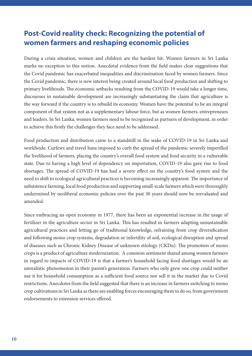### **Post-Covid reality check: Recognizing the potential of women farmers and reshaping economic policies**

During a crisis situation, women and children are the hardest hit. Women farmers in Sri Lanka marks no exception to this notion. Anecdotal evidence from the field makes clear suggestions that the Covid pandemic has exacerbated inequalities and discrimination faced by women farmers. Since the Covid pandemic, there is new interest being created around local food production and shifting to primary livelihoods. The economic setbacks resulting from the COVID-19 would take a longer time, discourses in sustainable development are increasingly substantiating the claim that agriculture is the way forward if the country is to rebuild its economy. Women have the potential to be an integral component of that system not as a supplementary labour force, but as women farmers, entrepreneurs and leaders. In Sri Lanka, women farmers need to be recognized as partners of development, in order to achieve this firstly the challenges they face need to be addressed.

Food production and distribution came to a standstill in the wake of COVID-19 in Sri Lanka and worldwide. Curfews and travel bans imposed to curb the spread of the pandemic severely imperilled the livelihood of farmers, placing the country's overall food system and food security in a vulnerable state. Due to having a high level of dependency on importation, COVID-19 also gave rise to food shortages. The spread of COVID-19 has had a severe effect on the country's food system and the need to shift to ecological agricultural practices is becoming increasingly apparent. The importance of subsistence farming, local food production and supporting small-scale farmers which were thoroughly undermined by neoliberal economic policies over the past 30 years should now be reevaluated and amended.

Since embracing an open economy in 1977, there has been an exponential increase in the usage of fertilizer in the agriculture sector in Sri Lanka. This has resulted in farmers adapting unsustainable agricultural practices and letting go of traditional knowledge, refraining from crop diversification and following mono crop systems, degradation or infertility of soil, ecological disruption and spread of diseases such as Chronic Kidney Disease of unknown etiology (CKDu). The promotion of mono crops is a product of agriculture modernization. A common sentiment shared among women farmers in regard to impacts of COVID-19 is that a farmer's household facing food shortages would be an unrealistic phenomenon in their parent's generation. Farmers who only grew one crop could neither use it for household consumption as a sufficient food source nor sell it in the market due to Covid restrictions. Anecdotes from the field suggested that there is an increase in farmers switching to mono crop cultivations in Sri Lanka as there are enabling forces encouraging them to do so, from government endorsements to extension services offered.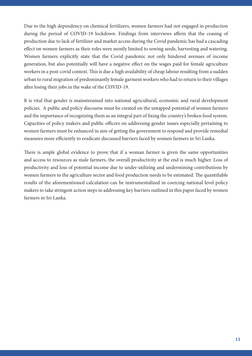Due to the high dependency on chemical fertilizers, women farmers had not engaged in production during the period of COVID-19 lockdown. Findings from interviews affirm that the ceasing of production due to lack of fertilizer and market access during the Covid pandemic has had a cascading effect on women farmers as their roles were mostly limited to sowing seeds, harvesting and watering. Women farmers explicitly state that the Covid pandemic not only hindered avenues of income generation, but also potentially will have a negative effect on the wages paid for female agriculture workers in a post-covid context. This is due a high availability of cheap labour resulting from a sudden urban to rural migration of predominantly female garment workers who had to return to their villages after losing their jobs in the wake of the COVID-19.

It is vital that gender is mainstreamed into national agricultural, economic and rural development policies. A public and policy discourse must be created on the untapped potential of women farmers and the importance of recognizing them as an integral part of fixing the country's broken food system. Capacities of policy makers and public officers on addressing gender issues especially pertaining to women farmers must be enhanced in aim of getting the government to respond and provide remedial measures more efficiently to eradicate discussed barriers faced by women farmers in Sri Lanka.

There is ample global evidence to prove that if a woman farmer is given the same opportunities and access to resources as male farmers, the overall productivity at the end is much higher. Loss of productivity and loss of potential income due to under-utilizing and undermining contributions by women farmers to the agriculture sector and food production needs to be estimated. The quantifiable results of the aforementioned calculation can be instrumentalized in coercing national level policy makers to take stringent action steps in addressing key barriers outlined in this paper faced by women farmers in Sri Lanka.